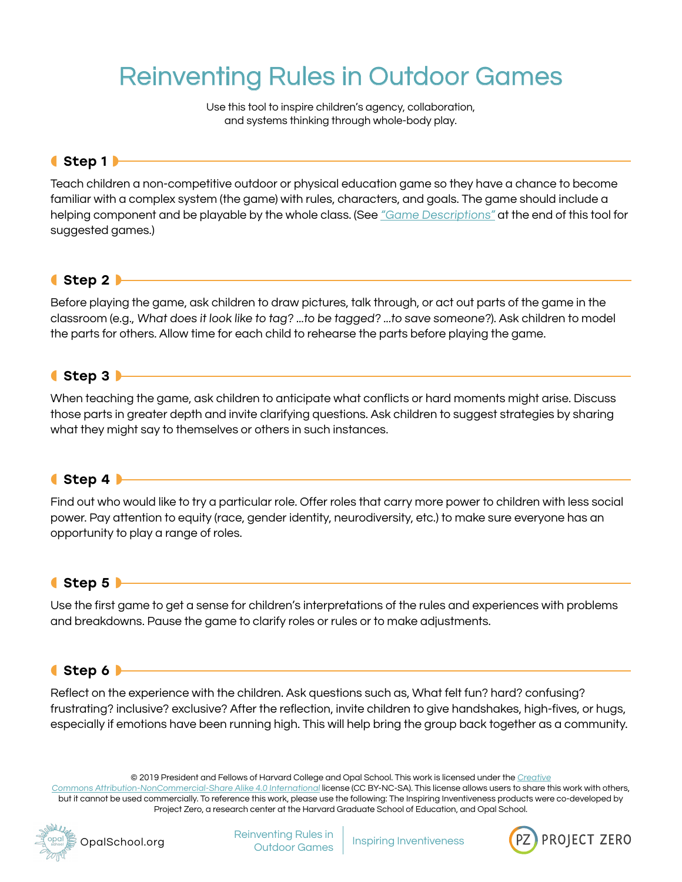# Reinventing Rules in Outdoor Games

Use this tool to inspire children's agency, collaboration, and systems thinking through whole-body play.

# ◖Step 1◗

Teach children a non-competitive outdoor or physical education game so they have a chance to become familiar with a complex system (the game) with rules, characters, and goals. The game should include a helping component and be playable by the whole class. (See ["Game Descriptions"](#page-3-0) at the end of this tool for suggested games.)

# $\bullet$  Step 2  $\blacktriangleright$

Before playing the game, ask children to draw pictures, talk through, or act out parts of the game in the classroom (e.g., What does it look like to tag? ...to be tagged? ...to save someone?). Ask children to model the parts for others. Allow time for each child to rehearse the parts before playing the game.

#### ◖Step 3◗

When teaching the game, ask children to anticipate what conflicts or hard moments might arise. Discuss those parts in greater depth and invite clarifying questions. Ask children to suggest strategies by sharing what they might say to themselves or others in such instances.

#### ◖Step 4◗

Find out who would like to try a particular role. Offer roles that carry more power to children with less social power. Pay attention to equity (race, gender identity, neurodiversity, etc.) to make sure everyone has an opportunity to play a range of roles.

#### $\bullet$  Step 5

Use the first game to get a sense for children's interpretations of the rules and experiences with problems and breakdowns. Pause the game to clarify roles or rules or to make adjustments.

#### ◖Step 6◗

Reflect on the experience with the children. Ask questions such as, What felt fun? hard? confusing? frustrating? inclusive? exclusive? After the reflection, invite children to give handshakes, high-fives, or hugs, especially if emotions have been running high. This will help bring the group back together as a community.

© 2019 President and Fellows of Harvard College and Opal School. This work is licensed under the [Creative](https://creativecommons.org/licenses/by-nc-sa/4.0/)

[Commons Attribution-NonCommercial-Share Alike 4.0 International](https://creativecommons.org/licenses/by-nc-sa/4.0/) license (CC BY-NC-SA). This license allows users to share this work with others, but it cannot be used commercially. To reference this work, please use the following: The Inspiring Inventiveness products were co-developed by Project Zero, a research center at the Harvard Graduate School of Education, and Opal School.



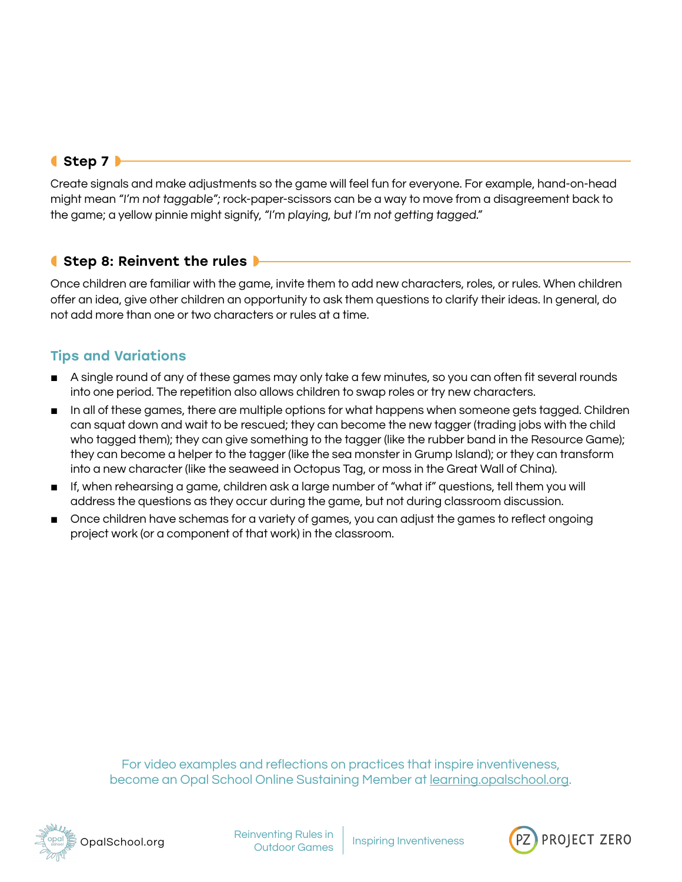# ◖Step 7◗

Create signals and make adjustments so the game will feel fun for everyone. For example, hand-on-head might mean "I'm not taggable"; rock-paper-scissors can be a way to move from a disagreement back to the game; a yellow pinnie might signify, "I'm playing, but I'm not getting tagged."

# **(Step 8: Reinvent the rules** ▶

Once children are familiar with the game, invite them to add new characters, roles, or rules. When children offer an idea, give other children an opportunity to ask them questions to clarify their ideas. In general, do not add more than one or two characters or rules at a time.

# Tips and Variations

- A single round of any of these games may only take a few minutes, so you can often fit several rounds into one period. The repetition also allows children to swap roles or try new characters.
- In all of these games, there are multiple options for what happens when someone gets tagged. Children can squat down and wait to be rescued; they can become the new tagger (trading jobs with the child who tagged them); they can give something to the tagger (like the rubber band in the Resource Game); they can become a helper to the tagger (like the sea monster in Grump Island); or they can transform into a new character (like the seaweed in Octopus Tag, or moss in the Great Wall of China).
- If, when rehearsing a game, children ask a large number of "what if" questions, tell them you will address the questions as they occur during the game, but not during classroom discussion.
- Once children have schemas for a variety of games, you can adjust the games to reflect ongoing project work (or a component of that work) in the classroom.

For video examples and reflections on practices that inspire inventiveness, become an Opal School Online Sustaining Member at [learning.opalschool.org.](http://learning.opalschool.org)



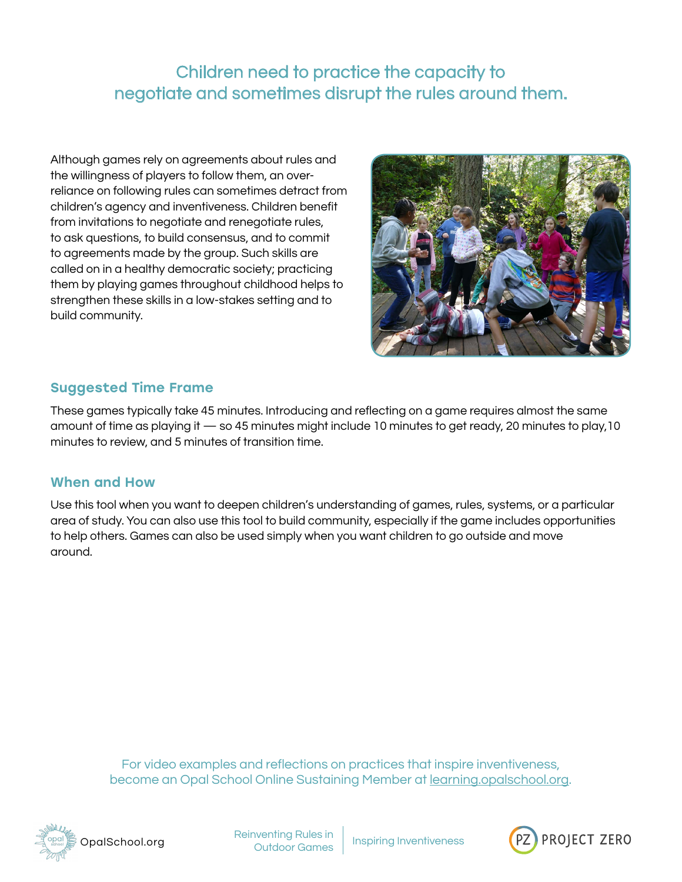Children need to practice the capacity to negotiate and sometimes disrupt the rules around them.

Although games rely on agreements about rules and the willingness of players to follow them, an overreliance on following rules can sometimes detract from children's agency and inventiveness. Children benefit from invitations to negotiate and renegotiate rules, to ask questions, to build consensus, and to commit to agreements made by the group. Such skills are called on in a healthy democratic society; practicing them by playing games throughout childhood helps to strengthen these skills in a low-stakes setting and to build community.



#### Suggested Time Frame

These games typically take 45 minutes. Introducing and reflecting on a game requires almost the same amount of time as playing it — so 45 minutes might include 10 minutes to get ready, 20 minutes to play,10 minutes to review, and 5 minutes of transition time.

#### When and How

Use this tool when you want to deepen children's understanding of games, rules, systems, or a particular area of study. You can also use this tool to build community, especially if the game includes opportunities to help others. Games can also be used simply when you want children to go outside and move around.

> For video examples and reflections on practices that inspire inventiveness, become an Opal School Online Sustaining Member at [learning.opalschool.org.](http://learning.opalschool.org)



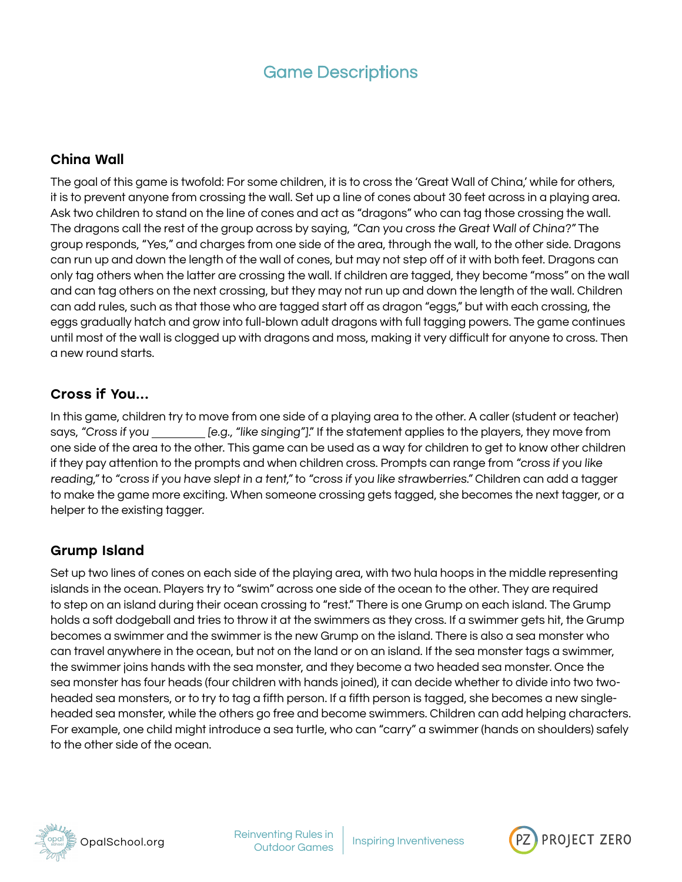# Game Descriptions

#### <span id="page-3-0"></span>China Wall

The goal of this game is twofold: For some children, it is to cross the 'Great Wall of China,' while for others, it is to prevent anyone from crossing the wall. Set up a line of cones about 30 feet across in a playing area. Ask two children to stand on the line of cones and act as "dragons" who can tag those crossing the wall. The dragons call the rest of the group across by saying, "Can you cross the Great Wall of China?" The group responds, "Yes," and charges from one side of the area, through the wall, to the other side. Dragons can run up and down the length of the wall of cones, but may not step off of it with both feet. Dragons can only tag others when the latter are crossing the wall. If children are tagged, they become "moss" on the wall and can tag others on the next crossing, but they may not run up and down the length of the wall. Children can add rules, such as that those who are tagged start off as dragon "eggs," but with each crossing, the eggs gradually hatch and grow into full-blown adult dragons with full tagging powers. The game continues until most of the wall is clogged up with dragons and moss, making it very difficult for anyone to cross. Then a new round starts.

#### Cross if You...

In this game, children try to move from one side of a playing area to the other. A caller (student or teacher) says, "Cross if you \_\_\_\_\_\_\_\_\_ [e.g., "like singing"]." If the statement applies to the players, they move from one side of the area to the other. This game can be used as a way for children to get to know other children if they pay attention to the prompts and when children cross. Prompts can range from "cross if you like reading," to "cross if you have slept in a tent," to "cross if you like strawberries." Children can add a tagger to make the game more exciting. When someone crossing gets tagged, she becomes the next tagger, or a helper to the existing tagger.

#### Grump Island

Set up two lines of cones on each side of the playing area, with two hula hoops in the middle representing islands in the ocean. Players try to "swim" across one side of the ocean to the other. They are required to step on an island during their ocean crossing to "rest." There is one Grump on each island. The Grump holds a soft dodgeball and tries to throw it at the swimmers as they cross. If a swimmer gets hit, the Grump becomes a swimmer and the swimmer is the new Grump on the island. There is also a sea monster who can travel anywhere in the ocean, but not on the land or on an island. If the sea monster tags a swimmer, the swimmer joins hands with the sea monster, and they become a two headed sea monster. Once the sea monster has four heads (four children with hands joined), it can decide whether to divide into two twoheaded sea monsters, or to try to tag a fifth person. If a fifth person is tagged, she becomes a new singleheaded sea monster, while the others go free and become swimmers. Children can add helping characters. For example, one child might introduce a sea turtle, who can "carry" a swimmer (hands on shoulders) safely to the other side of the ocean.



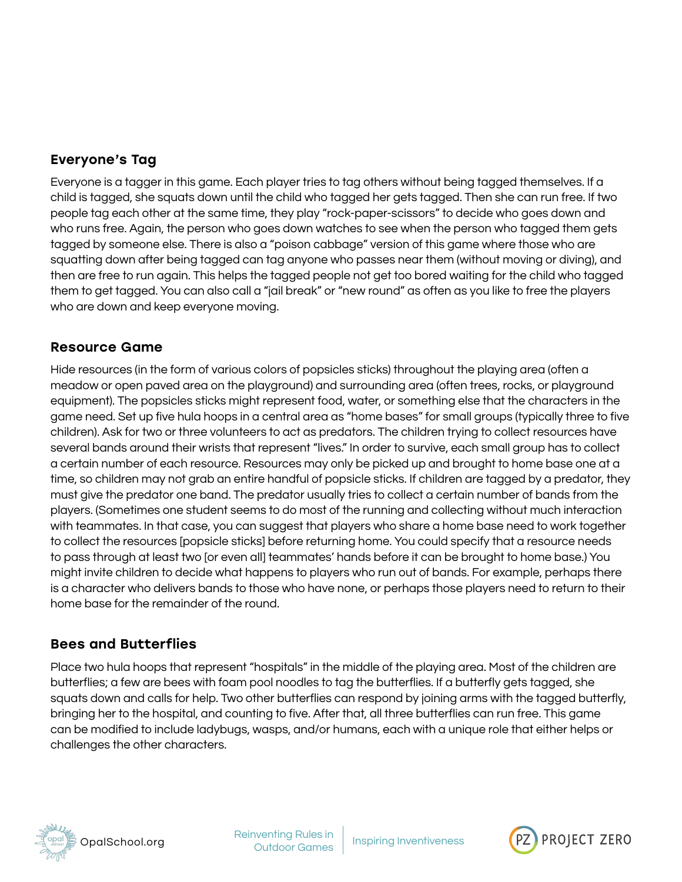# Everyone's Tag

Everyone is a tagger in this game. Each player tries to tag others without being tagged themselves. If a child is tagged, she squats down until the child who tagged her gets tagged. Then she can run free. If two people tag each other at the same time, they play "rock-paper-scissors" to decide who goes down and who runs free. Again, the person who goes down watches to see when the person who tagged them gets tagged by someone else. There is also a "poison cabbage" version of this game where those who are squatting down after being tagged can tag anyone who passes near them (without moving or diving), and then are free to run again. This helps the tagged people not get too bored waiting for the child who tagged them to get tagged. You can also call a "jail break" or "new round" as often as you like to free the players who are down and keep everyone moving.

#### Resource Game

Hide resources (in the form of various colors of popsicles sticks) throughout the playing area (often a meadow or open paved area on the playground) and surrounding area (often trees, rocks, or playground equipment). The popsicles sticks might represent food, water, or something else that the characters in the game need. Set up five hula hoops in a central area as "home bases" for small groups (typically three to five children). Ask for two or three volunteers to act as predators. The children trying to collect resources have several bands around their wrists that represent "lives." In order to survive, each small group has to collect a certain number of each resource. Resources may only be picked up and brought to home base one at a time, so children may not grab an entire handful of popsicle sticks. If children are tagged by a predator, they must give the predator one band. The predator usually tries to collect a certain number of bands from the players. (Sometimes one student seems to do most of the running and collecting without much interaction with teammates. In that case, you can suggest that players who share a home base need to work together to collect the resources [popsicle sticks] before returning home. You could specify that a resource needs to pass through at least two [or even all] teammates' hands before it can be brought to home base.) You might invite children to decide what happens to players who run out of bands. For example, perhaps there is a character who delivers bands to those who have none, or perhaps those players need to return to their home base for the remainder of the round.

#### Bees and Butterflies

Place two hula hoops that represent "hospitals" in the middle of the playing area. Most of the children are butterflies; a few are bees with foam pool noodles to tag the butterflies. If a butterfly gets tagged, she squats down and calls for help. Two other butterflies can respond by joining arms with the tagged butterfly, bringing her to the hospital, and counting to five. After that, all three butterflies can run free. This game can be modified to include ladybugs, wasps, and/or humans, each with a unique role that either helps or challenges the other characters.